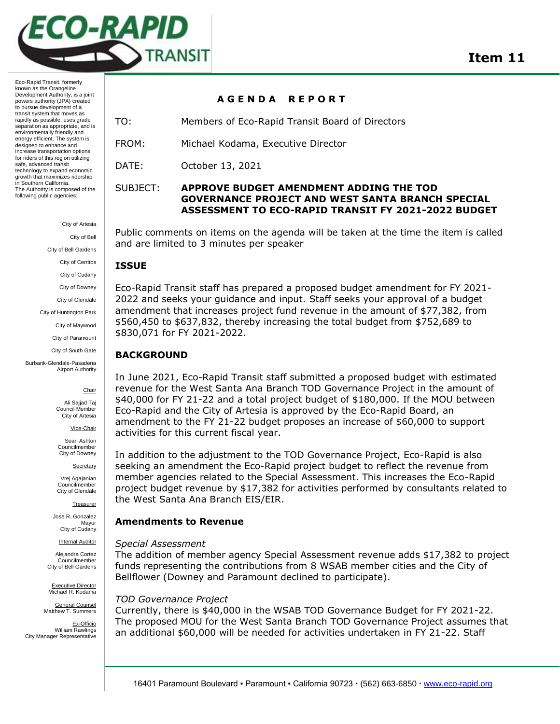

> City of Artesia City of Bell City of Bell Gardens

City of Cerritos

City of Cudahy

City of Downey

City of Glendale

City of Huntington Park

City of Maywood

City of Paramount

City of South Gate

Burbank-Glendale-Pasadena Airport Authority

### **Chair**

Ali Sajjad Taj Council Membe City of Artesia

Vice-Chair

Sean Ashton Councilmember City of Downey

Secretary

Vrej Agajanian Councilmember City of Glendale

**Treasurer** 

Jose R. Gonzalez Mayor City of Cudahy

**Internal Auditor** 

Alejandra Cortez Councilmember City of Bell Gardens

Executive Director Michael R. Kodama

General Counsel Matthew T. Summers

Ex-Officio William Rawlings City Manager Representative

### **A G E N D A R E P O R T**

TO: Members of Eco-Rapid Transit Board of Directors

FROM: Michael Kodama, Executive Director

DATE: October 13, 2021

## SUBJECT: **APPROVE BUDGET AMENDMENT ADDING THE TOD GOVERNANCE PROJECT AND WEST SANTA BRANCH SPECIAL ASSESSMENT TO ECO-RAPID TRANSIT FY 2021-2022 BUDGET**

Public comments on items on the agenda will be taken at the time the item is called and are limited to 3 minutes per speaker

## **ISSUE**

Eco-Rapid Transit staff has prepared a proposed budget amendment for FY 2021- 2022 and seeks your guidance and input. Staff seeks your approval of a budget amendment that increases project fund revenue in the amount of \$77,382, from \$560,450 to \$637,832, thereby increasing the total budget from \$752,689 to \$830,071 for FY 2021-2022.

## **BACKGROUND**

In June 2021, Eco-Rapid Transit staff submitted a proposed budget with estimated revenue for the West Santa Ana Branch TOD Governance Project in the amount of \$40,000 for FY 21-22 and a total project budget of \$180,000. If the MOU between Eco-Rapid and the City of Artesia is approved by the Eco-Rapid Board, an amendment to the FY 21-22 budget proposes an increase of \$60,000 to support activities for this current fiscal year.

In addition to the adjustment to the TOD Governance Project, Eco-Rapid is also seeking an amendment the Eco-Rapid project budget to reflect the revenue from member agencies related to the Special Assessment. This increases the Eco-Rapid project budget revenue by \$17,382 for activities performed by consultants related to the West Santa Ana Branch EIS/EIR.

## **Amendments to Revenue**

### *Special Assessment*

The addition of member agency Special Assessment revenue adds \$17,382 to project funds representing the contributions from 8 WSAB member cities and the City of Bellflower (Downey and Paramount declined to participate).

### *TOD Governance Project*

Currently, there is \$40,000 in the WSAB TOD Governance Budget for FY 2021-22. The proposed MOU for the West Santa Branch TOD Governance Project assumes that an additional \$60,000 will be needed for activities undertaken in FY 21-22. Staff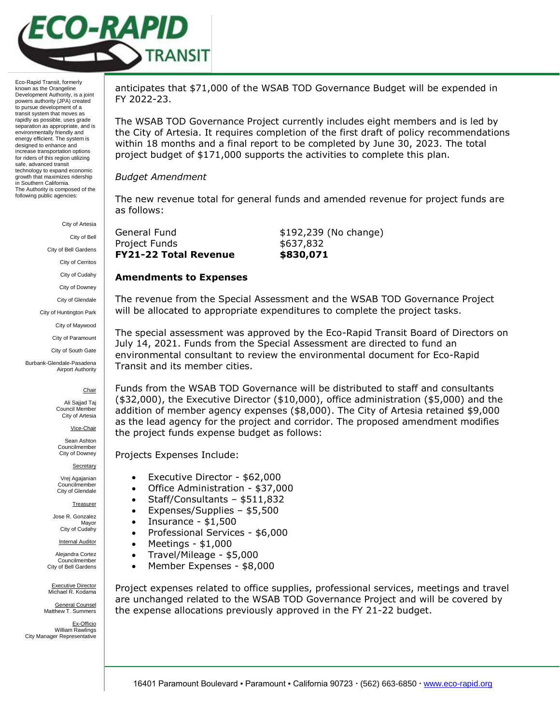

City of Artesia

City of Bell

City of Bell Gardens

City of Cerritos

City of Cudahy

City of Downey

City of Glendale

City of Huntington Park

City of Maywood

City of Paramount City of South Gate

Burbank-Glendale-Pasadena Airport Authority

**Chair** 

Ali Sajjad Taj Council Membe City of Artesia

Vice-Chair

Sean Ashton Councilmember City of Downey

**Secretary** 

Vrej Agajanian Councilmember City of Glendale

**Treasurer** 

Jose R. Gonzalez Mayor City of Cudahy

**Internal Auditor** 

Alejandra Cortez Councilmember City of Bell Gardens

Executive Director Michael R. Kodama

General Counsel Matthew T. Summers

Ex-Officio William Rawlings City Manager Representative

anticipates that \$71,000 of the WSAB TOD Governance Budget will be expended in FY 2022-23.

The WSAB TOD Governance Project currently includes eight members and is led by the City of Artesia. It requires completion of the first draft of policy recommendations within 18 months and a final report to be completed by June 30, 2023. The total project budget of \$171,000 supports the activities to complete this plan.

## *Budget Amendment*

The new revenue total for general funds and amended revenue for project funds are as follows:

| <b>FY21-22 Total Revenue</b> | \$830,071             |
|------------------------------|-----------------------|
| Project Funds                | \$637,832             |
| General Fund                 | \$192,239 (No change) |
|                              |                       |

# **Amendments to Expenses**

The revenue from the Special Assessment and the WSAB TOD Governance Project will be allocated to appropriate expenditures to complete the project tasks.

The special assessment was approved by the Eco-Rapid Transit Board of Directors on July 14, 2021. Funds from the Special Assessment are directed to fund an environmental consultant to review the environmental document for Eco-Rapid Transit and its member cities.

Funds from the WSAB TOD Governance will be distributed to staff and consultants (\$32,000), the Executive Director (\$10,000), office administration (\$5,000) and the addition of member agency expenses (\$8,000). The City of Artesia retained \$9,000 as the lead agency for the project and corridor. The proposed amendment modifies the project funds expense budget as follows:

Projects Expenses Include:

- Executive Director \$62,000
- Office Administration \$37,000
- Staff/Consultants \$511,832
- Expenses/Supplies \$5,500
- $\bullet$  Insurance \$1,500
- Professional Services \$6,000
- $\bullet$  Meetings \$1,000
- $\bullet$  Travel/Mileage \$5,000
- Member Expenses \$8,000

Project expenses related to office supplies, professional services, meetings and travel are unchanged related to the WSAB TOD Governance Project and will be covered by the expense allocations previously approved in the FY 21-22 budget.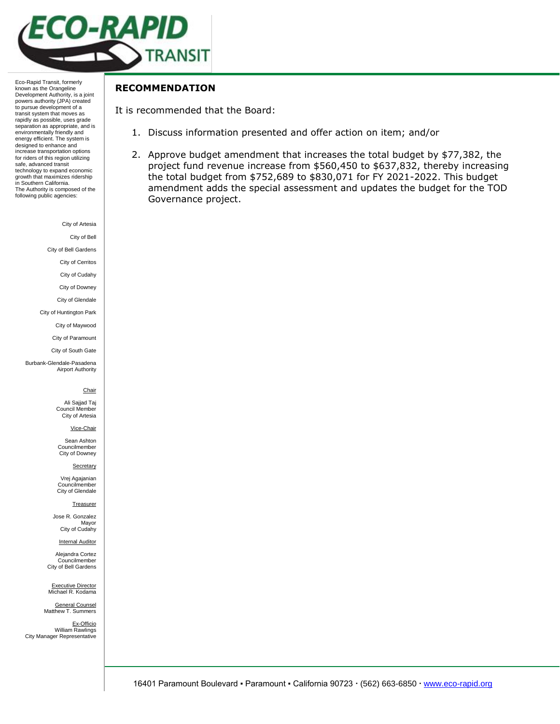

City of Artesia

City of Bell

City of Bell Gardens

City of Cerritos

City of Cudahy

City of Downey

City of Glendale City of Huntington Park

City of Maywood

City of Paramount

City of South Gate

Burbank-Glendale-Pasadena Airport Authority

### **Chair**

Ali Sajjad Taj Council Member City of Artesia

Vice-Chair

Sean Ashton Councilmember City of Downey

Secretary

Vrej Agajanian Councilmember City of Glendale

#### **Treasurer**

Jose R. Gonzalez Mayor City of Cudahy

**Internal Auditor** 

Alejandra Cortez Councilmember City of Bell Gardens

Executive Director Michael R. Kodama

General Counsel Matthew T. Summers

Ex-Officio William Rawlings City Manager Representative

**RECOMMENDATION**

It is recommended that the Board:

- 1. Discuss information presented and offer action on item; and/or
- 2. Approve budget amendment that increases the total budget by \$77,382, the project fund revenue increase from \$560,450 to \$637,832, thereby increasing the total budget from \$752,689 to \$830,071 for FY 2021-2022. This budget amendment adds the special assessment and updates the budget for the TOD Governance project.

16401 Paramount Boulevard · Paramount · California 90723 · (562) 663-6850 · [www.eco-rapid.org](http://www.eco-rapid.org/)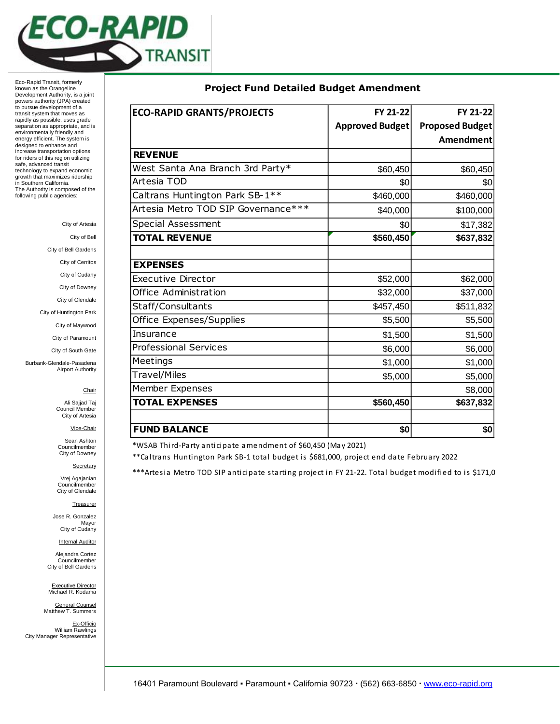

City of Artesia

City of Bell

City of Bell Gardens

City of Cerritos

City of Cudahy

City of Downey

City of Glendale

City of Huntington Park

City of Maywood

City of Paramount

City of South Gate

Burbank-Glendale-Pasadena Airport Authority

**Chair** 

Ali Sajjad Taj Council Member City of Artesia

Vice-Chair

Sean Ashton Councilmember City of Downey

**Secretary** 

Vrej Agajanian Councilmember City of Glendale

**Treasurer** 

Jose R. Gonzalez Mayor City of Cudahy

**Internal Auditor** 

Alejandra Cortez Councilmember City of Bell Gardens

Executive Director<br>Michael R. Kodama

General Counsel Matthew T. Summers

Ex-Officio William Rawlings City Manager Representative

| <b>ECO-RAPID GRANTS/PROJECTS</b>    | FY 21-22               | FY 21-22               |
|-------------------------------------|------------------------|------------------------|
|                                     | <b>Approved Budget</b> | <b>Proposed Budget</b> |
|                                     |                        | Amendment              |
| <b>REVENUE</b>                      |                        |                        |
| West Santa Ana Branch 3rd Party*    | \$60,450               | \$60,450               |
| Artesia TOD                         | \$0                    | \$0                    |
| Caltrans Huntington Park SB-1**     | \$460,000              | \$460,000              |
| Artesia Metro TOD SIP Governance*** | \$40,000               | \$100,000              |
| <b>Special Assessment</b>           | \$0                    | \$17,382               |
| <b>TOTAL REVENUE</b>                | \$560,450              | \$637,832              |
|                                     |                        |                        |
| <b>EXPENSES</b>                     |                        |                        |
| Executive Director                  | \$52,000               | \$62,000               |
| Office Administration               | \$32,000               | \$37,000               |
| Staff/Consultants                   | \$457,450              | \$511,832              |
| Office Expenses/Supplies            | \$5,500                | \$5,500                |
| Insurance                           | \$1,500                | \$1,500                |
| <b>Professional Services</b>        | \$6,000                | \$6,000                |
| Meetings                            | \$1,000                | \$1,000                |
| Travel/Miles                        | \$5,000                | \$5,000                |
| Member Expenses                     |                        | \$8,000                |
| <b>TOTAL EXPENSES</b>               | \$560,450              | \$637,832              |
|                                     |                        |                        |
| <b>FUND BALANCE</b>                 | \$0                    | \$0                    |

\*WSAB Third-Party anticipate amendment of \$60,450 (May 2021)

\*\*Caltrans Huntington Park SB-1 total budget is \$681,000, project end date February 2022

\*\*\*Artesia Metro TOD SIP anticipate starting project in FY 21-22. Total budget modified to is \$171,0